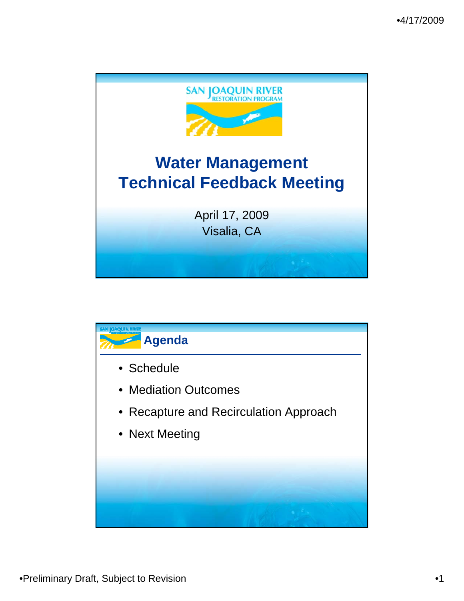

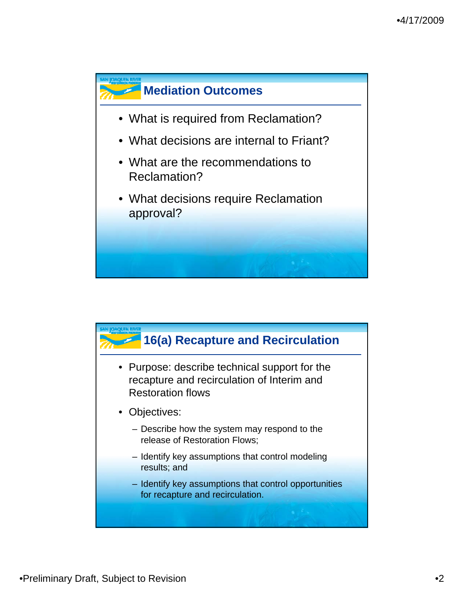

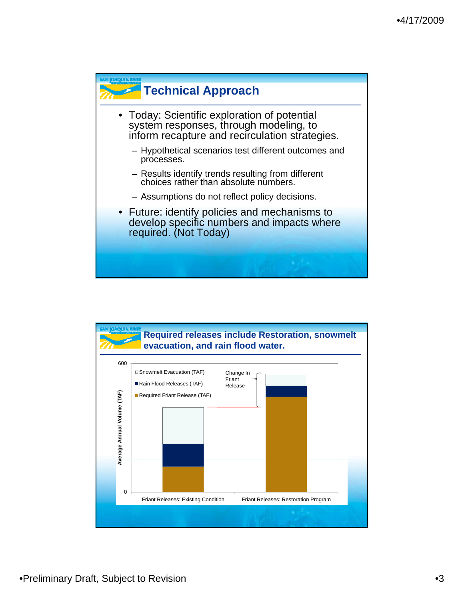

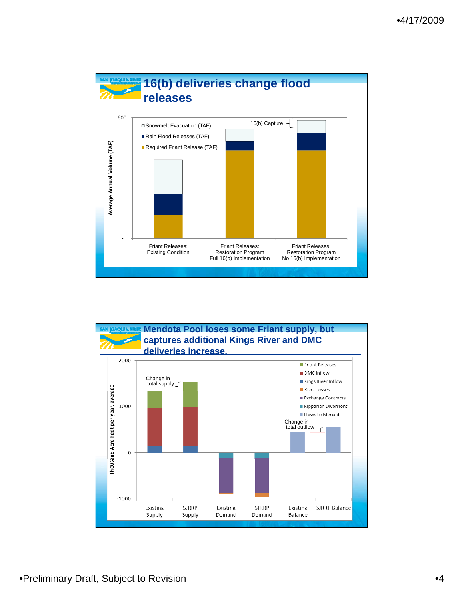

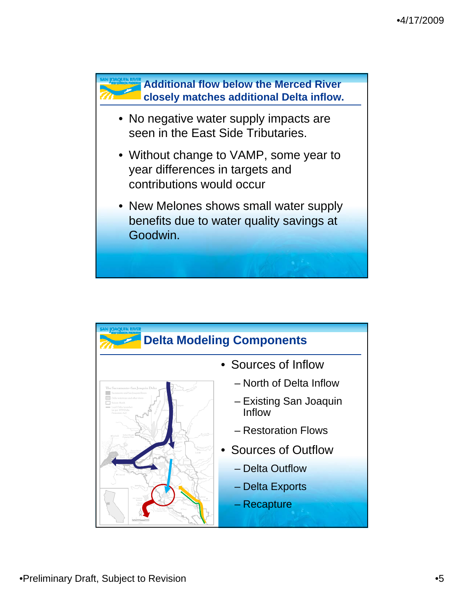

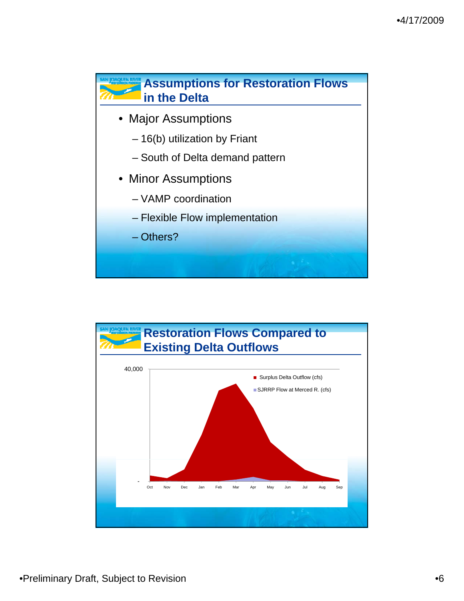

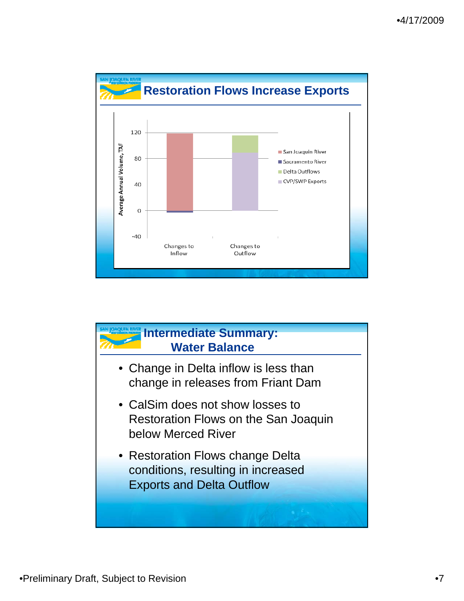

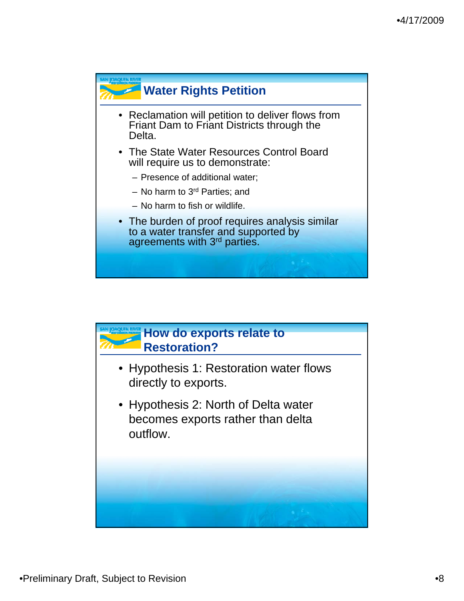

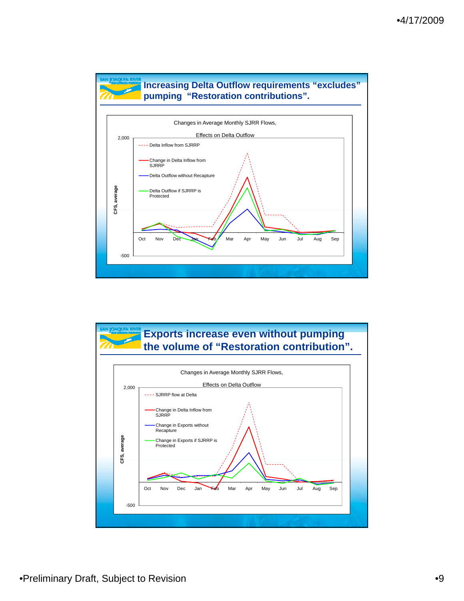

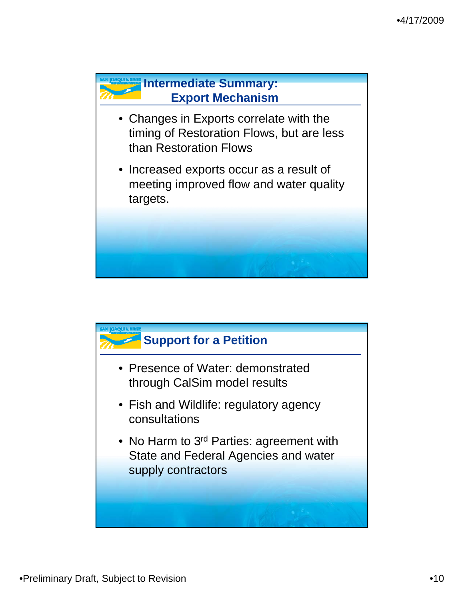

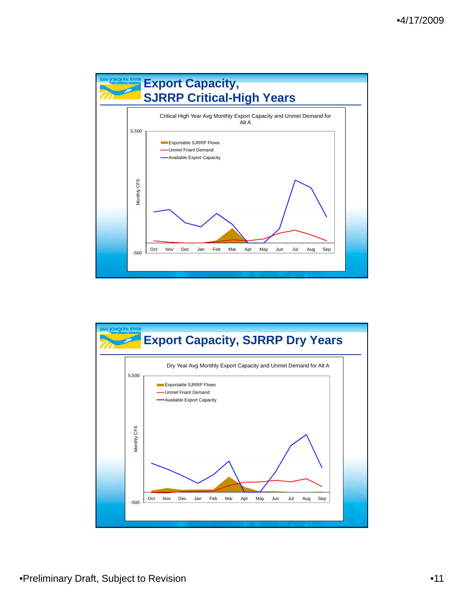

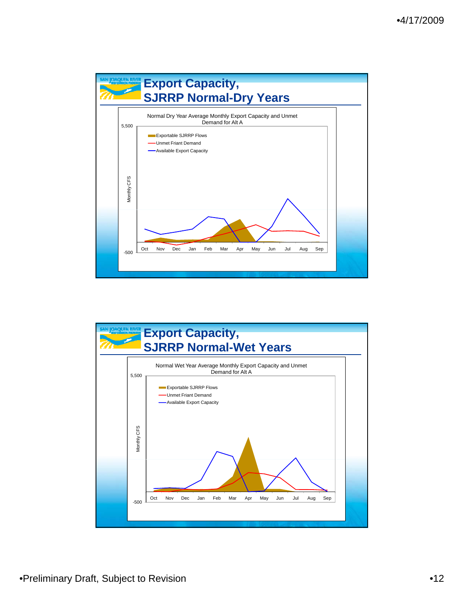

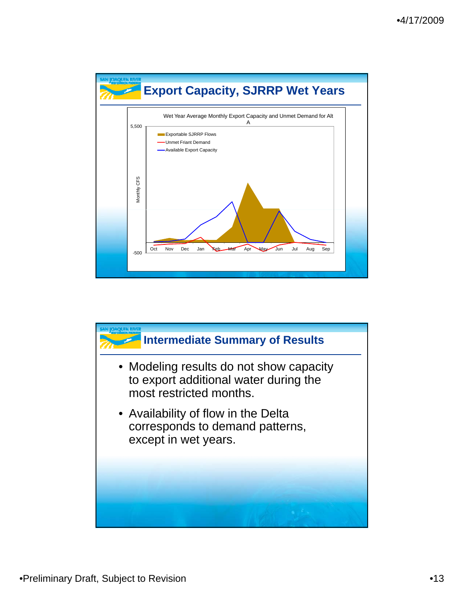

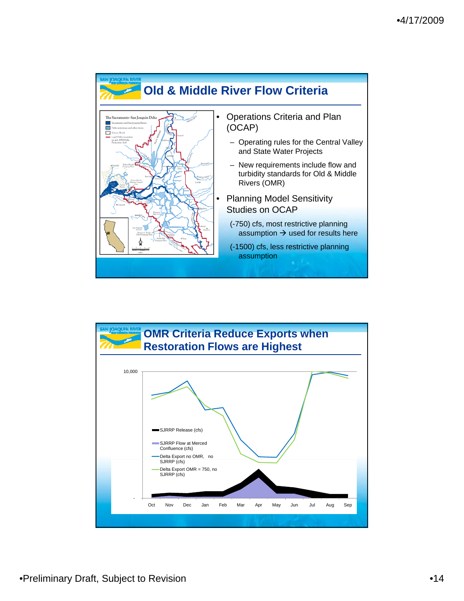

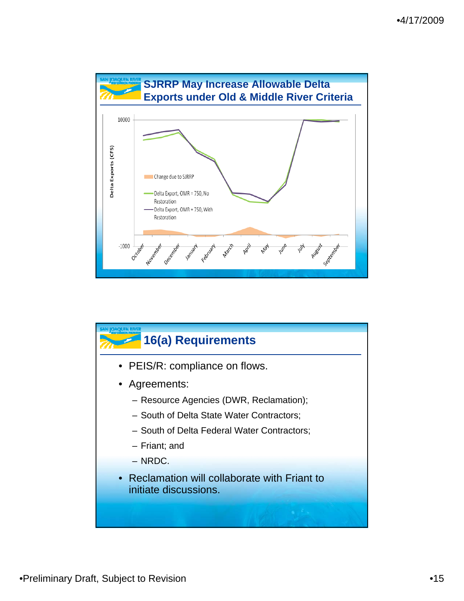